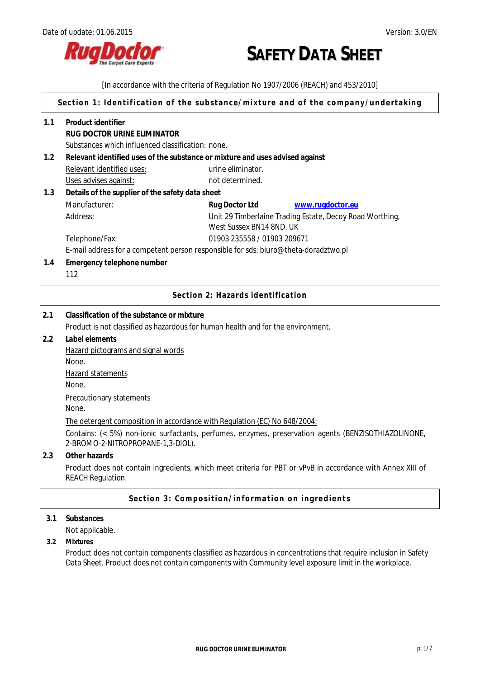

[In accordance with the criteria of Regulation No 1907/2006 (REACH) and 453/2010] **Section 1: Identification of the substance/mixture and of the company/undertaking 1.1 Product identifier RUG DOCTOR URINE ELIMINATOR**  Substances which influenced classification: none. **1.2 Relevant identified uses of the substance or mixture and uses advised against**  Relevant identified uses: values are urine eliminator. Uses advises against: not determined. **1.3 Details of the supplier of the safety data sheet**  Manufacturer: **Rug Doctor Ltd [www.rugdoctor.eu](http://www.rugdoctor.eu/)** Address: Unit 29 Timberlaine Trading Estate, Decoy Road Worthing, West Sussex BN14 8ND, UK Telephone/Fax: 01903 235558 / 01903 209671 E-mail address for a competent person responsible for sds: biuro@theta-doradztwo.pl **1.4 Emergency telephone number** 112 **Section 2: Hazards identification 2.1 Classification of the substance or mixture**  Product is not classified as hazardous for human health and for the environment. **2.2 Label elements**  Hazard pictograms and signal words None. Hazard statements None. Precautionary statements None. The detergent composition in accordance with Regulation (EC) No 648/2004: Contains: (< 5%) non-ionic surfactants, perfumes, enzymes, preservation agents (BENZISOTHIAZOLINONE, 2-BROMO-2-NITROPROPANE-1,3-DIOL). **2.3 Other hazards**  Product does not contain ingredients, which meet criteria for PBT or vPvB in accordance with Annex XIII of REACH Regulation. **Section 3: Composition/information on ingredients 3.1 Substances**  Not applicable.

**3.2 Mixtures** 

Product does not contain components classified as hazardous in concentrations that require inclusion in Safety Data Sheet. Product does not contain components with Community level exposure limit in the workplace.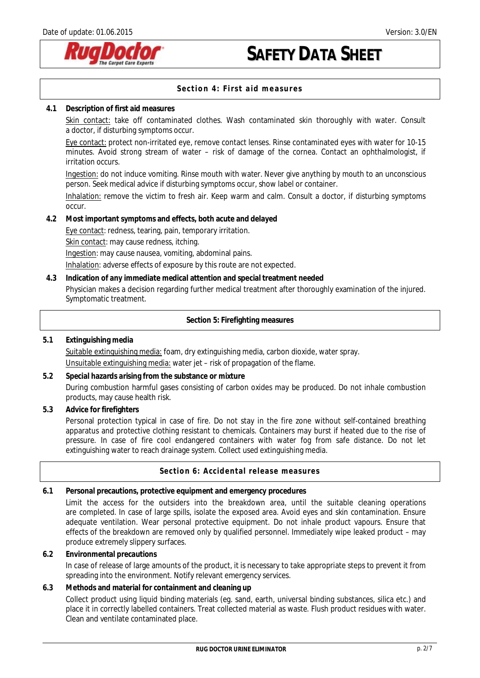

## **Section 4: First aid measures**

## **4.1 Description of first aid measures**

Skin contact: take off contaminated clothes. Wash contaminated skin thoroughly with water. Consult a doctor, if disturbing symptoms occur.

Eye contact: protect non-irritated eye, remove contact lenses. Rinse contaminated eyes with water for 10-15 minutes. Avoid strong stream of water – risk of damage of the cornea. Contact an ophthalmologist, if irritation occurs.

Ingestion: do not induce vomiting. Rinse mouth with water. Never give anything by mouth to an unconscious person. Seek medical advice if disturbing symptoms occur, show label or container.

Inhalation: remove the victim to fresh air. Keep warm and calm. Consult a doctor, if disturbing symptoms occur.

**4.2 Most important symptoms and effects, both acute and delayed** 

Eye contact: redness, tearing, pain, temporary irritation.

Skin contact: may cause redness, itching.

Ingestion: may cause nausea, vomiting, abdominal pains.

Inhalation: adverse effects of exposure by this route are not expected.

**4.3 Indication of any immediate medical attention and special treatment needed**

Physician makes a decision regarding further medical treatment after thoroughly examination of the injured. Symptomatic treatment.

### **Section 5: Firefighting measures**

## **5.1 Extinguishing media**  Suitable extinguishing media: foam, dry extinguishing media, carbon dioxide, water spray. Unsuitable extinguishing media: water jet – risk of propagation of the flame.

## **5.2 Special hazards arising from the substance or mixture**  During combustion harmful gases consisting of carbon oxides may be produced. Do not inhale combustion products, may cause health risk.

**5.3 Advice for firefighters** 

Personal protection typical in case of fire. Do not stay in the fire zone without self-contained breathing apparatus and protective clothing resistant to chemicals. Containers may burst if heated due to the rise of pressure. In case of fire cool endangered containers with water fog from safe distance. Do not let extinguishing water to reach drainage system. Collect used extinguishing media.

## **Section 6: Accidental release measures**

**6.1 Personal precautions, protective equipment and emergency procedures** 

Limit the access for the outsiders into the breakdown area, until the suitable cleaning operations are completed. In case of large spills, isolate the exposed area. Avoid eyes and skin contamination. Ensure adequate ventilation. Wear personal protective equipment. Do not inhale product vapours. Ensure that effects of the breakdown are removed only by qualified personnel. Immediately wipe leaked product – may produce extremely slippery surfaces.

**6.2 Environmental precautions** 

In case of release of large amounts of the product, it is necessary to take appropriate steps to prevent it from spreading into the environment. Notify relevant emergency services.

**6.3 Methods and material for containment and cleaning up**

Collect product using liquid binding materials (eg. sand, earth, universal binding substances, silica etc.) and place it in correctly labelled containers. Treat collected material as waste. Flush product residues with water. Clean and ventilate contaminated place.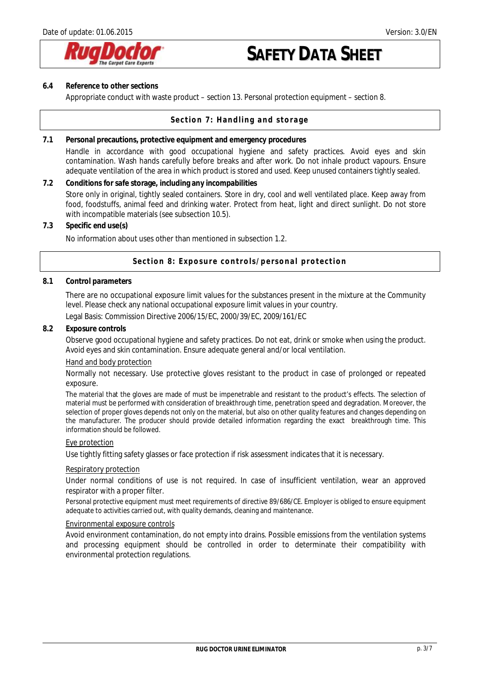

#### **6.4 Reference to other sections**

Appropriate conduct with waste product – section 13. Personal protection equipment – section 8.

#### **Section 7: Handling and storage**

**7.1 Personal precautions, protective equipment and emergency procedures**  Handle in accordance with good occupational hygiene and safety practices. Avoid eyes and skin contamination. Wash hands carefully before breaks and after work. Do not inhale product vapours. Ensure adequate ventilation of the area in which product is stored and used. Keep unused containers tightly sealed.

**7.2 Conditions for safe storage, including any incompabilities**  Store only in original, tightly sealed containers. Store in dry, cool and well ventilated place. Keep away from food, foodstuffs, animal feed and drinking water. Protect from heat, light and direct sunlight. Do not store with incompatible materials (see subsection 10.5).

**7.3 Specific end use(s)** 

No information about uses other than mentioned in subsection 1.2.

### **Section 8: Exposure controls/personal protection**

#### **8.1 Control parameters**

There are no occupational exposure limit values for the substances present in the mixture at the Community level. Please check any national occupational exposure limit values in your country.

Legal Basis: Commission Directive 2006/15/EC, 2000/39/EC, 2009/161/EC

#### **8.2 Exposure controls**

Observe good occupational hygiene and safety practices. Do not eat, drink or smoke when using the product. Avoid eyes and skin contamination. Ensure adequate general and/or local ventilation.

#### Hand and body protection

Normally not necessary. Use protective gloves resistant to the product in case of prolonged or repeated exposure.

The material that the gloves are made of must be impenetrable and resistant to the product's effects. The selection of material must be performed with consideration of breakthrough time, penetration speed and degradation. Moreover, the selection of proper gloves depends not only on the material, but also on other quality features and changes depending on the manufacturer. The producer should provide detailed information regarding the exact breakthrough time. This information should be followed.

#### Eye protection

Use tightly fitting safety glasses or face protection if risk assessment indicates that it is necessary.

#### Respiratory protection

Under normal conditions of use is not required. In case of insufficient ventilation, wear an approved respirator with a proper filter.

Personal protective equipment must meet requirements of directive 89/686/CE. Employer is obliged to ensure equipment adequate to activities carried out, with quality demands, cleaning and maintenance.

#### Environmental exposure controls

Avoid environment contamination, do not empty into drains. Possible emissions from the ventilation systems and processing equipment should be controlled in order to determinate their compatibility with environmental protection regulations.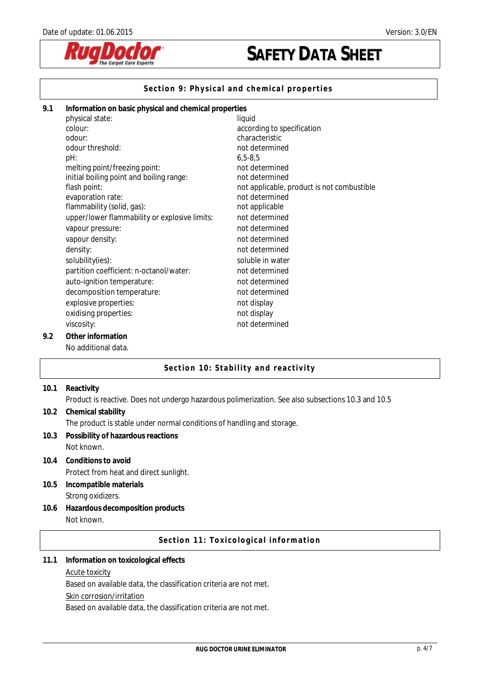

## **Section 9: Physical and chemical properties**

| 9.1 | Information on basic physical and chemical properties |                                            |
|-----|-------------------------------------------------------|--------------------------------------------|
|     | physical state:                                       | liquid                                     |
|     | colour:                                               | according to specification                 |
|     | odour:                                                | characteristic                             |
|     | odour threshold:                                      | not determined                             |
|     | pH:                                                   | $6,5 - 8,5$                                |
|     | melting point/freezing point:                         | not determined                             |
|     | initial boiling point and boiling range:              | not determined                             |
|     | flash point:                                          | not applicable, product is not combustible |
|     | evaporation rate:                                     | not determined                             |
|     | flammability (solid, gas):                            | not applicable                             |
|     | upper/lower flammability or explosive limits:         | not determined                             |
|     | vapour pressure:                                      | not determined                             |
|     | vapour density:                                       | not determined                             |
|     | density:                                              | not determined                             |
|     | solubility(ies):                                      | soluble in water                           |
|     | partition coefficient: n-octanol/water:               | not determined                             |
|     | auto-ignition temperature:                            | not determined                             |
|     | decomposition temperature:                            | not determined                             |
|     | explosive properties:                                 | not display                                |
|     | oxidising properties:                                 | not display                                |
|     | viscosity:                                            | not determined                             |
| 9.2 | Other information                                     |                                            |
|     | No additional data.                                   |                                            |

## **Section 10: Stability and reactivity**

| 10.1                                  | Reactivity                                                                                         |  |  |
|---------------------------------------|----------------------------------------------------------------------------------------------------|--|--|
|                                       | Product is reactive. Does not undergo hazardous polimerization. See also subsections 10.3 and 10.5 |  |  |
| 10.2 <sub>1</sub>                     | Chemical stability                                                                                 |  |  |
|                                       | The product is stable under normal conditions of handling and storage.                             |  |  |
| 10.3                                  | Possibility of hazardous reactions                                                                 |  |  |
|                                       | Not known.                                                                                         |  |  |
| 10.4                                  | Conditions to avoid                                                                                |  |  |
|                                       | Protect from heat and direct sunlight.                                                             |  |  |
| 10.5                                  | Incompatible materials                                                                             |  |  |
|                                       | Strong oxidizers.                                                                                  |  |  |
| 10.6                                  | Hazardous decomposition products                                                                   |  |  |
|                                       | Not known.                                                                                         |  |  |
| Section 11: Toxicological information |                                                                                                    |  |  |
| 11.1                                  | Information on toxicological effects                                                               |  |  |
|                                       | <b>Acute toxicity</b>                                                                              |  |  |
|                                       | Based on available data, the classification criteria are not met.                                  |  |  |
|                                       | Skin corrosion/irritation                                                                          |  |  |

Based on available data, the classification criteria are not met.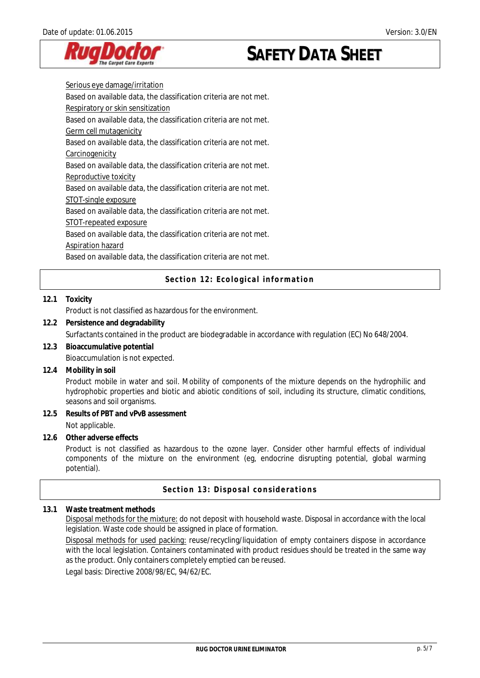

Serious eye damage/irritation Based on available data, the classification criteria are not met. Respiratory or skin sensitization Based on available data, the classification criteria are not met. Germ cell mutagenicity Based on available data, the classification criteria are not met. **Carcinogenicity** Based on available data, the classification criteria are not met. Reproductive toxicity Based on available data, the classification criteria are not met. STOT-single exposure Based on available data, the classification criteria are not met. STOT-repeated exposure Based on available data, the classification criteria are not met. Aspiration hazard Based on available data, the classification criteria are not met.

**Section 12: Ecological information** 

### **12.1 Toxicity**

Product is not classified as hazardous for the environment.

- **12.2 Persistence and degradability**  Surfactants contained in the product are biodegradable in accordance with regulation (EC) No 648/2004.
- **12.3 Bioaccumulative potential**  Bioaccumulation is not expected.
- **12.4 Mobility in soil**

Product mobile in water and soil. Mobility of components of the mixture depends on the hydrophilic and hydrophobic properties and biotic and abiotic conditions of soil, including its structure, climatic conditions, seasons and soil organisms.

**12.5 Results of PBT and vPvB assessment**  Not applicable.

**12.6 Other adverse effects** 

Product is not classified as hazardous to the ozone layer. Consider other harmful effects of individual components of the mixture on the environment (eg, endocrine disrupting potential, global warming potential).

### **Section 13: Disposal considerations**

## **13.1 Waste treatment methods**

Disposal methods for the mixture: do not deposit with household waste. Disposal in accordance with the local legislation. Waste code should be assigned in place of formation.

Disposal methods for used packing: reuse/recycling/liquidation of empty containers dispose in accordance with the local legislation. Containers contaminated with product residues should be treated in the same way as the product. Only containers completely emptied can be reused.

Legal basis: Directive 2008/98/EC, 94/62/EC.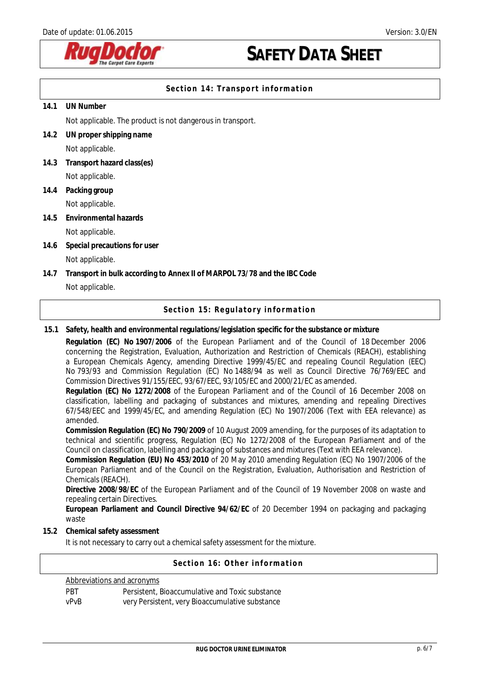

## **Section 14: Transport information**

## **14.1 UN Number**

Not applicable. The product is not dangerous in transport.

- **14.2 UN proper shipping name**  Not applicable.
- **14.3 Transport hazard class(es)**  Not applicable.
- **14.4 Packing group**

Not applicable.

**14.5 Environmental hazards** 

## Not applicable.

- **14.6 Special precautions for user**  Not applicable.
- **14.7 Transport in bulk according to Annex II of MARPOL 73/78 and the IBC Code**  Not applicable.

## **Section 15: Regulatory information**

## **15.1 Safety, health and environmental regulations/legislation specific for the substance or mixture**

**Regulation (EC) No 1907/2006** of the European Parliament and of the Council of 18 December 2006 concerning the Registration, Evaluation, Authorization and Restriction of Chemicals (REACH), establishing a European Chemicals Agency, amending Directive 1999/45/EC and repealing Council Regulation (EEC) No 793/93 and Commission Regulation (EC) No 1488/94 as well as Council Directive 76/769/EEC and Commission Directives 91/155/EEC, 93/67/EEC, 93/105/EC and 2000/21/EC as amended.

**Regulation (EC) No 1272/2008** of the European Parliament and of the Council of 16 December 2008 on classification, labelling and packaging of substances and mixtures, amending and repealing Directives 67/548/EEC and 1999/45/EC, and amending Regulation (EC) No 1907/2006 (Text with EEA relevance) as amended.

**Commission Regulation (EC) No 790/2009** of 10 August 2009 amending, for the purposes of its adaptation to technical and scientific progress, Regulation (EC) No 1272/2008 of the European Parliament and of the Council on classification, labelling and packaging of substances and mixtures (Text with EEA relevance).

**Commission Regulation (EU) No 453/2010** of 20 May 2010 amending Regulation (EC) No 1907/2006 of the European Parliament and of the Council on the Registration, Evaluation, Authorisation and Restriction of Chemicals (REACH).

**Directive 2008/98/EC** of the European Parliament and of the Council of 19 November 2008 on waste and repealing certain Directives.

**European Parliament and Council Directive 94/62/EC** of 20 December 1994 on packaging and packaging waste

### **15.2 Chemical safety assessment**

It is not necessary to carry out a chemical safety assessment for the mixture.

### **Section 16: Other information**

| Abbreviations and acronyms |                                                 |  |
|----------------------------|-------------------------------------------------|--|
| <b>PRT</b>                 | Persistent, Bioaccumulative and Toxic substance |  |
| vPvB                       | very Persistent, very Bioaccumulative substance |  |